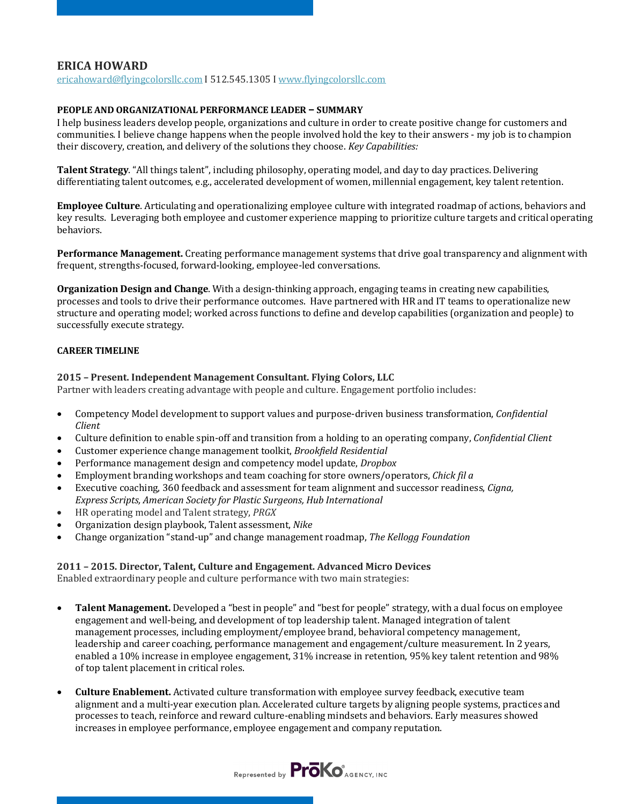# **ERICA HOWARD**

ericahoward@flyingcolorsllc.com I 512.545.1305 I www.flyingcolorsllc.com

### **PEOPLE AND ORGANIZATIONAL PERFORMANCE LEADER - SUMMARY**

I help business leaders develop people, organizations and culture in order to create positive change for customers and communities. I believe change happens when the people involved hold the key to their answers - my job is to champion their discovery, creation, and delivery of the solutions they choose. *Key Capabilities:* 

**Talent Strategy**. "All things talent", including philosophy, operating model, and day to day practices. Delivering differentiating talent outcomes, e.g., accelerated development of women, millennial engagement, key talent retention.

**Employee Culture**. Articulating and operationalizing employee culture with integrated roadmap of actions, behaviors and key results. Leveraging both employee and customer experience mapping to prioritize culture targets and critical operating behaviors. 

**Performance Management.** Creating performance management systems that drive goal transparency and alignment with frequent, strengths-focused, forward-looking, employee-led conversations.

**Organization Design and Change**. With a design-thinking approach, engaging teams in creating new capabilities, processes and tools to drive their performance outcomes. Have partnered with HR and IT teams to operationalize new structure and operating model; worked across functions to define and develop capabilities (organization and people) to successfully execute strategy.

## **CAREER TIMELINE**

## **2015 - Present. Independent Management Consultant. Flying Colors, LLC**

Partner with leaders creating advantage with people and culture. Engagement portfolio includes:

- Competency Model development to support values and purpose-driven business transformation, *Confidential Client*
- Culture definition to enable spin-off and transition from a holding to an operating company, *Confidential Client*
- Customer experience change management toolkit, *Brookfield Residential*
- Performance management design and competency model update, *Dropbox*
- Employment branding workshops and team coaching for store owners/operators, *Chick fil a*
- Executive coaching, 360 feedback and assessment for team alignment and successor readiness, *Cigna*, Express Scripts, American Society for Plastic Surgeons, Hub International
- HR operating model and Talent strategy, *PRGX*
- Organization design playbook, Talent assessment, *Nike*
- Change organization "stand-up" and change management roadmap, *The Kellogg Foundation*

### **2011 – 2015. Director, Talent, Culture and Engagement. Advanced Micro Devices**

Enabled extraordinary people and culture performance with two main strategies:

- **Talent Management.** Developed a "best in people" and "best for people" strategy, with a dual focus on employee engagement and well-being, and development of top leadership talent. Managed integration of talent management processes, including employment/employee brand, behavioral competency management, leadership and career coaching, performance management and engagement/culture measurement. In 2 years, enabled a 10% increase in employee engagement, 31% increase in retention, 95% key talent retention and 98% of top talent placement in critical roles.
- **Culture Enablement.** Activated culture transformation with employee survey feedback, executive team alignment and a multi-year execution plan. Accelerated culture targets by aligning people systems, practices and processes to teach, reinforce and reward culture-enabling mindsets and behaviors. Early measures showed increases in employee performance, employee engagement and company reputation.